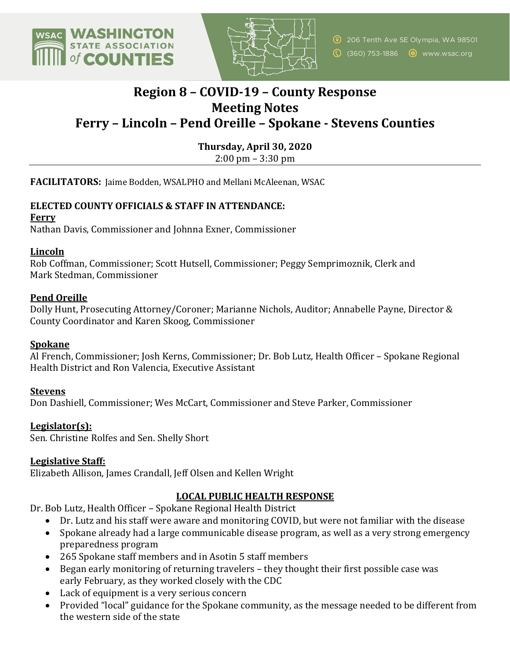



# **Region 8 – COVID-19 – County Response Meeting Notes Ferry – Lincoln – Pend Oreille – Spokane - Stevens Counties**

**Thursday, April 30, 2020**  $2:00 \text{ pm} - 3:30 \text{ pm}$ 

FACILITATORS: Jaime Bodden, WSALPHO and Mellani McAleenan, WSAC

#### **ELECTED COUNTY OFFICIALS & STAFF IN ATTENDANCE:**

**Ferry**

Nathan Davis, Commissioner and Johnna Exner, Commissioner

#### **Lincoln**

Rob Coffman, Commissioner; Scott Hutsell, Commissioner; Peggy Semprimoznik, Clerk and Mark Stedman, Commissioner

#### **Pend Oreille**

Dolly Hunt, Prosecuting Attorney/Coroner; Marianne Nichols, Auditor; Annabelle Payne, Director & County Coordinator and Karen Skoog, Commissioner 

#### **Spokane**

Al French, Commissioner; Josh Kerns, Commissioner; Dr. Bob Lutz, Health Officer - Spokane Regional Health District and Ron Valencia, Executive Assistant

#### **Stevens**

Don Dashiell, Commissioner; Wes McCart, Commissioner and Steve Parker, Commissioner

#### **Legislator(s):**

Sen. Christine Rolfes and Sen. Shelly Short

#### **Legislative Staff:**

Elizabeth Allison, James Crandall, Jeff Olsen and Kellen Wright

## **LOCAL PUBLIC HEALTH RESPONSE**

Dr. Bob Lutz, Health Officer - Spokane Regional Health District

- Dr. Lutz and his staff were aware and monitoring COVID, but were not familiar with the disease
- Spokane already had a large communicable disease program, as well as a very strong emergency preparedness program
- 265 Spokane staff members and in Asotin 5 staff members
- Began early monitoring of returning travelers  $-$  they thought their first possible case was early February, as they worked closely with the CDC
- Lack of equipment is a very serious concern
- Provided "local" guidance for the Spokane community, as the message needed to be different from the western side of the state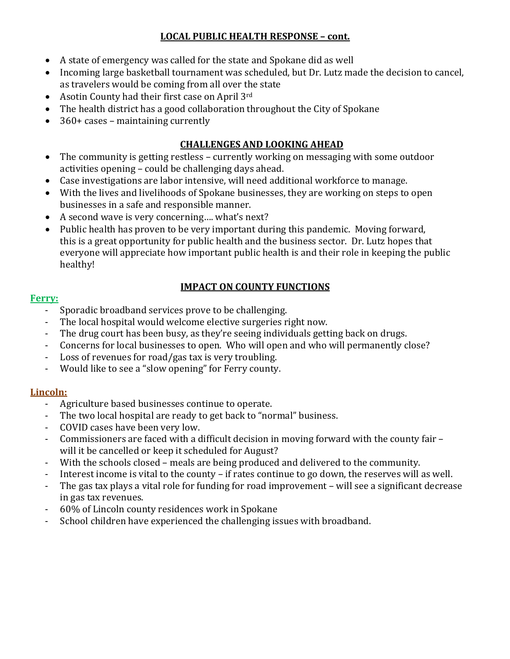# **LOCAL PUBLIC HEALTH RESPONSE – cont.**

- A state of emergency was called for the state and Spokane did as well
- Incoming large basketball tournament was scheduled, but Dr. Lutz made the decision to cancel, as travelers would be coming from all over the state
- Asotin County had their first case on April  $3^{rd}$
- The health district has a good collaboration throughout the City of Spokane
- $360+$  cases maintaining currently

# **CHALLENGES AND LOOKING AHEAD**

- The community is getting restless currently working on messaging with some outdoor activities opening - could be challenging days ahead.
- Case investigations are labor intensive, will need additional workforce to manage.
- With the lives and livelihoods of Spokane businesses, they are working on steps to open businesses in a safe and responsible manner.
- A second wave is very concerning.... what's next?
- Public health has proven to be very important during this pandemic. Moving forward, this is a great opportunity for public health and the business sector. Dr. Lutz hopes that everyone will appreciate how important public health is and their role in keeping the public healthy!

## **IMPACT ON COUNTY FUNCTIONS**

#### **Ferry:**

- Sporadic broadband services prove to be challenging.
- The local hospital would welcome elective surgeries right now.
- The drug court has been busy, as they're seeing individuals getting back on drugs.
- Concerns for local businesses to open. Who will open and who will permanently close?
- Loss of revenues for road/gas tax is very troubling.
- Would like to see a "slow opening" for Ferry county.

## **Lincoln:**

- Agriculture based businesses continue to operate.
- The two local hospital are ready to get back to "normal" business.
- COVID cases have been very low.
- Commissioners are faced with a difficult decision in moving forward with the county fair will it be cancelled or keep it scheduled for August?
- With the schools closed meals are being produced and delivered to the community.
- Interest income is vital to the county if rates continue to go down, the reserves will as well.
- The gas tax plays a vital role for funding for road improvement will see a significant decrease in gas tax revenues.
- 60% of Lincoln county residences work in Spokane
- School children have experienced the challenging issues with broadband.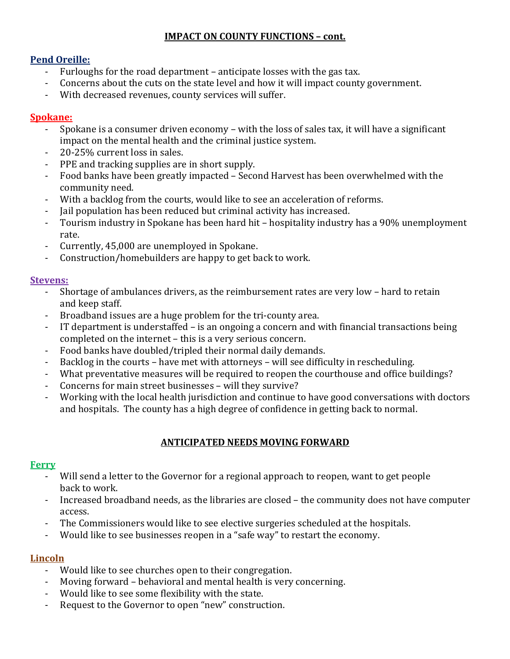## **IMPACT ON COUNTY FUNCTIONS - cont.**

#### **Pend Oreille:**

- Furloughs for the road department anticipate losses with the gas tax.
- Concerns about the cuts on the state level and how it will impact county government.
- With decreased revenues, county services will suffer.

#### **Spokane:**

- Spokane is a consumer driven economy with the loss of sales tax, it will have a significant impact on the mental health and the criminal justice system.
- 20-25% current loss in sales.
- PPE and tracking supplies are in short supply.
- Food banks have been greatly impacted Second Harvest has been overwhelmed with the community need.
- With a backlog from the courts, would like to see an acceleration of reforms.
- Jail population has been reduced but criminal activity has increased.
- Tourism industry in Spokane has been hard hit hospitality industry has a 90% unemployment rate.
- Currently, 45,000 are unemployed in Spokane.
- Construction/homebuilders are happy to get back to work.

#### **Stevens:**

- Shortage of ambulances drivers, as the reimbursement rates are very low hard to retain and keep staff.
- Broadband issues are a huge problem for the tri-county area.
- IT department is understaffed is an ongoing a concern and with financial transactions being completed on the internet - this is a very serious concern.
- Food banks have doubled/tripled their normal daily demands.
- Backlog in the courts have met with attorneys will see difficulty in rescheduling.
- What preventative measures will be required to reopen the courthouse and office buildings?
- Concerns for main street businesses will they survive?
- Working with the local health jurisdiction and continue to have good conversations with doctors and hospitals. The county has a high degree of confidence in getting back to normal.

## **ANTICIPATED NEEDS MOVING FORWARD**

## **Ferry**

- Will send a letter to the Governor for a regional approach to reopen, want to get people back to work.
- Increased broadband needs, as the libraries are closed the community does not have computer access.
- The Commissioners would like to see elective surgeries scheduled at the hospitals.
- Would like to see businesses reopen in a "safe way" to restart the economy.

## **Lincoln**

- Would like to see churches open to their congregation.
- Moving forward behavioral and mental health is very concerning.
- Would like to see some flexibility with the state.
- Request to the Governor to open "new" construction.